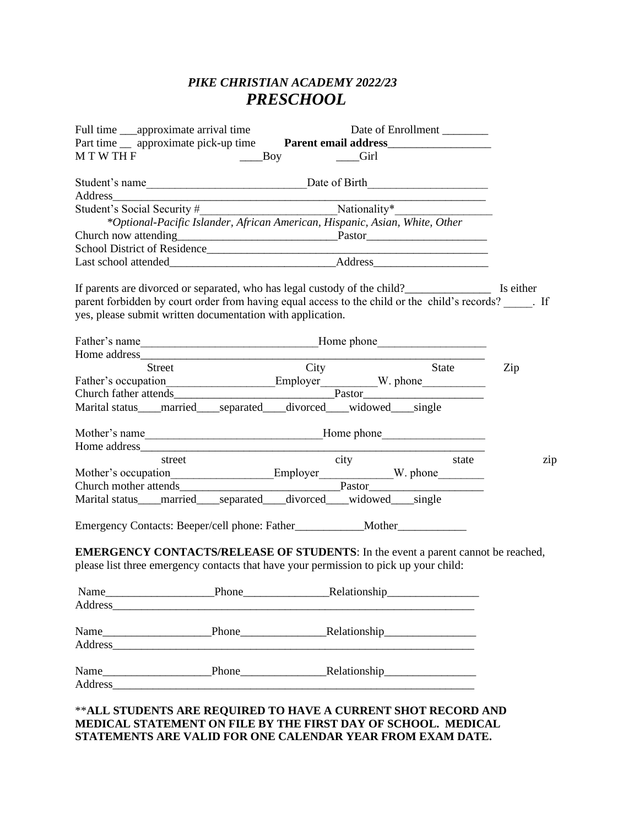# *PIKE CHRISTIAN ACADEMY 2022/23 PRESCHOOL*

| Full time ____approximate arrival time                                                                                                                                                                                         |  |                                                                             | Date of Enrollment |  |  |     |
|--------------------------------------------------------------------------------------------------------------------------------------------------------------------------------------------------------------------------------|--|-----------------------------------------------------------------------------|--------------------|--|--|-----|
| Part time __ approximate pick-up time Parent email address______________________                                                                                                                                               |  |                                                                             |                    |  |  |     |
|                                                                                                                                                                                                                                |  |                                                                             | <b>Girl</b>        |  |  |     |
|                                                                                                                                                                                                                                |  |                                                                             |                    |  |  |     |
|                                                                                                                                                                                                                                |  |                                                                             |                    |  |  |     |
|                                                                                                                                                                                                                                |  | *Optional-Pacific Islander, African American, Hispanic, Asian, White, Other |                    |  |  |     |
|                                                                                                                                                                                                                                |  |                                                                             |                    |  |  |     |
|                                                                                                                                                                                                                                |  |                                                                             |                    |  |  |     |
|                                                                                                                                                                                                                                |  |                                                                             |                    |  |  |     |
|                                                                                                                                                                                                                                |  |                                                                             |                    |  |  |     |
| If parents are divorced or separated, who has legal custody of the child?___________________________ Is either                                                                                                                 |  |                                                                             |                    |  |  |     |
| parent forbidden by court order from having equal access to the child or the child's records? Fig. 1.                                                                                                                          |  |                                                                             |                    |  |  |     |
| yes, please submit written documentation with application.                                                                                                                                                                     |  |                                                                             |                    |  |  |     |
|                                                                                                                                                                                                                                |  |                                                                             |                    |  |  |     |
|                                                                                                                                                                                                                                |  |                                                                             |                    |  |  |     |
|                                                                                                                                                                                                                                |  |                                                                             |                    |  |  |     |
| Street                                                                                                                                                                                                                         |  |                                                                             | City State         |  |  | Zip |
| Father's occupation<br>Church father attends<br>Church father attends<br>Church father attends                                                                                                                                 |  |                                                                             |                    |  |  |     |
|                                                                                                                                                                                                                                |  |                                                                             |                    |  |  |     |
| Marital status <sub>____</sub> married____separated___divorced___widowed___single                                                                                                                                              |  |                                                                             |                    |  |  |     |
|                                                                                                                                                                                                                                |  |                                                                             |                    |  |  |     |
|                                                                                                                                                                                                                                |  |                                                                             |                    |  |  |     |
|                                                                                                                                                                                                                                |  |                                                                             |                    |  |  | zip |
|                                                                                                                                                                                                                                |  |                                                                             |                    |  |  |     |
|                                                                                                                                                                                                                                |  |                                                                             |                    |  |  |     |
| Marital status <sub>____</sub> married____separated____divorced____widowed____single                                                                                                                                           |  |                                                                             |                    |  |  |     |
|                                                                                                                                                                                                                                |  |                                                                             |                    |  |  |     |
| Emergency Contacts: Beeper/cell phone: Father____________Mother_________________                                                                                                                                               |  |                                                                             |                    |  |  |     |
| <b>EMERGENCY CONTACTS/RELEASE OF STUDENTS:</b> In the event a parent cannot be reached,                                                                                                                                        |  |                                                                             |                    |  |  |     |
| please list three emergency contacts that have your permission to pick up your child:                                                                                                                                          |  |                                                                             |                    |  |  |     |
|                                                                                                                                                                                                                                |  |                                                                             |                    |  |  |     |
|                                                                                                                                                                                                                                |  |                                                                             |                    |  |  |     |
| <b>Address</b>                                                                                                                                                                                                                 |  |                                                                             |                    |  |  |     |
|                                                                                                                                                                                                                                |  |                                                                             |                    |  |  |     |
|                                                                                                                                                                                                                                |  |                                                                             |                    |  |  |     |
|                                                                                                                                                                                                                                |  |                                                                             |                    |  |  |     |
| Name<br><u> 1989 - Johann Barbara, martxa alemaniar a</u>                                                                                                                                                                      |  |                                                                             |                    |  |  |     |
| Address and the contract of the contract of the contract of the contract of the contract of the contract of the contract of the contract of the contract of the contract of the contract of the contract of the contract of th |  |                                                                             |                    |  |  |     |
|                                                                                                                                                                                                                                |  |                                                                             |                    |  |  |     |

#### \*\***ALL STUDENTS ARE REQUIRED TO HAVE A CURRENT SHOT RECORD AND MEDICAL STATEMENT ON FILE BY THE FIRST DAY OF SCHOOL. MEDICAL STATEMENTS ARE VALID FOR ONE CALENDAR YEAR FROM EXAM DATE.**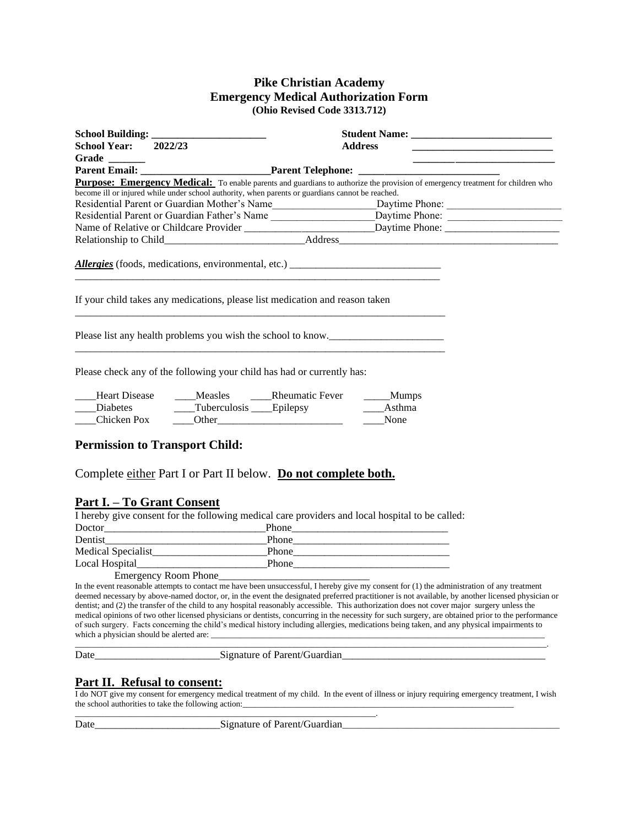#### **Pike Christian Academy Emergency Medical Authorization Form (Ohio Revised Code 3313.712)**

| School Year: 2022/23                                   |                       | <b>Address</b>                                                                                                                                                   |  |  |  |  |
|--------------------------------------------------------|-----------------------|------------------------------------------------------------------------------------------------------------------------------------------------------------------|--|--|--|--|
|                                                        |                       |                                                                                                                                                                  |  |  |  |  |
|                                                        |                       | Parent Email: Parent Telephone: Parent Telephone:                                                                                                                |  |  |  |  |
|                                                        |                       | <b>Purpose: Emergency Medical:</b> To enable parents and guardians to authorize the provision of emergency treatment for children who                            |  |  |  |  |
|                                                        |                       | become ill or injured while under school authority, when parents or guardians cannot be reached.                                                                 |  |  |  |  |
|                                                        |                       | Residential Parent or Guardian Mother's Name______________________________Daytime Phone: _____________________                                                   |  |  |  |  |
|                                                        |                       | Residential Parent or Guardian Father's Name ____________________________Daytime Phone: ______________________                                                   |  |  |  |  |
|                                                        |                       | Name of Relative or Childcare Provider ________________________________Daytime Phone: ________________________                                                   |  |  |  |  |
|                                                        |                       |                                                                                                                                                                  |  |  |  |  |
|                                                        |                       |                                                                                                                                                                  |  |  |  |  |
|                                                        |                       | If your child takes any medications, please list medication and reason taken<br>Please list any health problems you wish the school to know.                     |  |  |  |  |
| <b>Heart Disease</b><br><b>Diabetes</b><br>Chicken Pox | Tuberculosis Epilepsy | Please check any of the following your child has had or currently has:<br>Measles Rheumatic Fever<br>$\_\_\_\$ Mumps<br>Asthma<br>$\overline{\phantom{a}}$ Other |  |  |  |  |

#### **Part I. – To Grant Consent**

I hereby give consent for the following medical care providers and local hospital to be called: Doctor\_\_\_\_\_\_\_\_\_\_\_\_\_\_\_\_\_\_\_\_\_\_\_\_\_\_\_\_\_\_\_Phone\_\_\_\_\_\_\_\_\_\_\_\_\_\_\_\_\_\_\_\_\_\_\_\_\_\_\_\_\_\_

| Dentist              | Phone |
|----------------------|-------|
| Medical Specialist   | Phone |
| Local Hospital       | Phone |
| Emergency Room Phone |       |

Complete either Part I or Part II below. **Do not complete both.**

\_\_\_\_\_\_\_\_\_\_\_\_\_\_\_\_\_\_\_\_\_\_\_\_\_\_\_\_\_\_\_\_\_\_\_\_\_\_\_\_\_\_\_\_\_\_\_\_\_\_\_\_\_\_\_\_\_\_\_\_\_\_\_\_\_\_\_\_\_\_\_\_.

In the event reasonable attempts to contact  $\overline{me}$  have been unsuccessful, I hereby give  $\overline{my}$  consent for (1) the administration of any treatment deemed necessary by above-named doctor, or, in the event the designated preferred practitioner is not available, by another licensed physician or dentist; and (2) the transfer of the child to any hospital reasonably accessible. This authorization does not cover major surgery unless the medical opinions of two other licensed physicians or dentists, concurring in the necessity for such surgery, are obtained prior to the performance of such surgery. Facts concerning the child's medical history including allergies, medications being taken, and any physical impairments to which a physician should be alerted are:

\_\_\_\_\_\_\_\_\_\_\_\_\_\_\_\_\_\_\_\_\_\_\_\_\_\_\_\_\_\_\_\_\_\_\_\_\_\_\_\_\_\_\_\_\_\_\_\_\_\_\_\_\_\_\_\_\_\_\_\_\_\_\_\_\_\_\_\_\_\_\_\_\_\_\_\_\_\_\_\_\_\_\_\_\_\_\_\_\_\_\_\_\_\_\_\_\_\_\_\_\_\_\_\_\_\_\_\_\_\_\_\_\_.

Signature of Parent/Guardian

#### **Part II. Refusal to consent:**

I do NOT give my consent for emergency medical treatment of my child. In the event of illness or injury requiring emergency treatment, I wish the school authorities to take the following action:

Date Signature of Parent/Guardian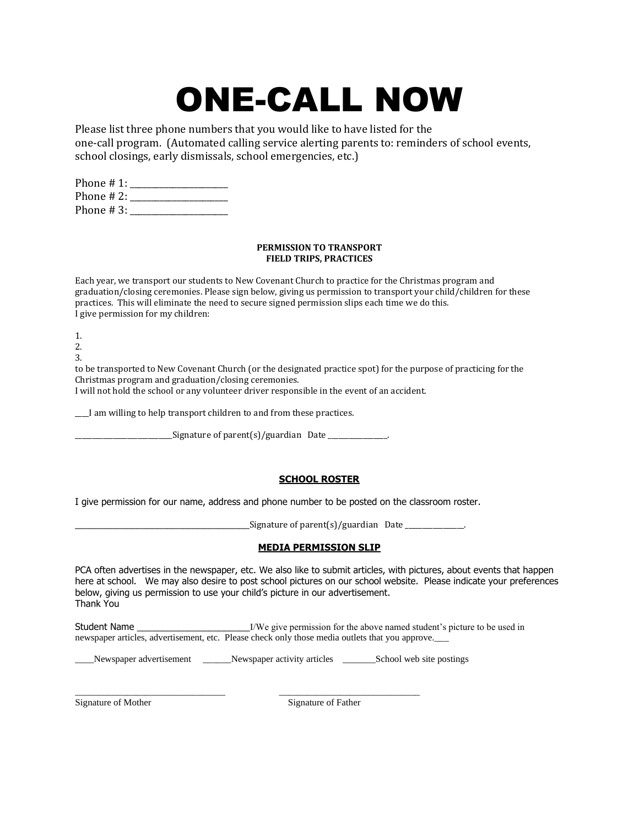# ONE-CALL NOW

Please list three phone numbers that you would like to have listed for the one-call program. (Automated calling service alerting parents to: reminders of school events, school closings, early dismissals, school emergencies, etc.)

Phone # 1: \_\_\_\_\_\_\_\_\_\_\_\_\_\_\_\_\_\_\_\_\_\_\_ Phone # 2: \_\_\_\_\_\_\_\_\_\_\_\_\_\_\_\_\_\_\_\_\_\_\_ Phone  $\# 3$ :

#### **PERMISSION TO TRANSPORT FIELD TRIPS, PRACTICES**

Each year, we transport our students to New Covenant Church to practice for the Christmas program and graduation/closing ceremonies. Please sign below, giving us permission to transport your child/children for these practices. This will eliminate the need to secure signed permission slips each time we do this. I give permission for my children:

1.

2.

3.

to be transported to New Covenant Church (or the designated practice spot) for the purpose of practicing for the Christmas program and graduation/closing ceremonies.

I will not hold the school or any volunteer driver responsible in the event of an accident.

\_\_\_\_I am willing to help transport children to and from these practices.

 $\angle$  Signature of parent(s)/guardian Date  $\angle$ 

#### **SCHOOL ROSTER**

I give permission for our name, address and phone number to be posted on the classroom roster.

 $_$  Signature of parent(s)/guardian Date  $_$ 

#### **MEDIA PERMISSION SLIP**

PCA often advertises in the newspaper, etc. We also like to submit articles, with pictures, about events that happen here at school. We may also desire to post school pictures on our school website. Please indicate your preferences below, giving us permission to use your child's picture in our advertisement. Thank You

Student Name T/We give permission for the above named student's picture to be used in newspaper articles, advertisement, etc. Please check only those media outlets that you approve.\_\_\_

\_\_\_\_Newspaper advertisement \_\_\_\_\_\_Newspaper activity articles \_\_\_\_\_\_\_School web site postings

\_\_\_\_\_\_\_\_\_\_\_\_\_\_\_\_\_\_\_\_\_\_\_\_\_\_\_\_\_\_\_\_ \_\_\_\_\_\_\_\_\_\_\_\_\_\_\_\_\_\_\_\_\_\_\_\_\_\_\_\_\_\_ Signature of Mother Signature of Father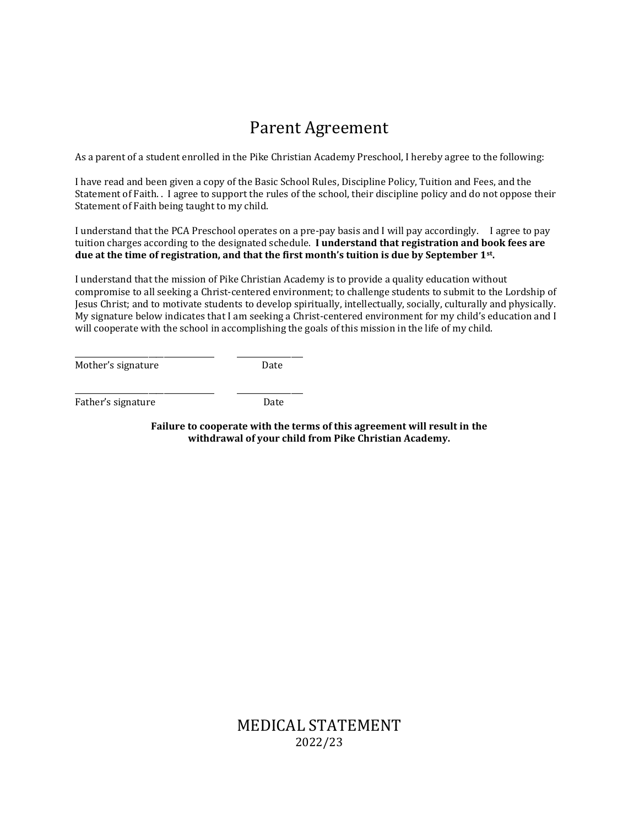# Parent Agreement

As a parent of a student enrolled in the Pike Christian Academy Preschool, I hereby agree to the following:

I have read and been given a copy of the Basic School Rules, Discipline Policy, Tuition and Fees, and the Statement of Faith. . I agree to support the rules of the school, their discipline policy and do not oppose their Statement of Faith being taught to my child.

I understand that the PCA Preschool operates on a pre-pay basis and I will pay accordingly. I agree to pay tuition charges according to the designated schedule. **I understand that registration and book fees are due at the time of registration, and that the first month's tuition is due by September 1st .** 

I understand that the mission of Pike Christian Academy is to provide a quality education without compromise to all seeking a Christ-centered environment; to challenge students to submit to the Lordship of Jesus Christ; and to motivate students to develop spiritually, intellectually, socially, culturally and physically. My signature below indicates that I am seeking a Christ-centered environment for my child's education and I will cooperate with the school in accomplishing the goals of this mission in the life of my child.

Mother's signature Date

\_\_\_\_\_\_\_\_\_\_\_\_\_\_\_\_\_\_\_\_\_\_\_\_\_\_\_\_\_\_\_\_\_\_\_\_ \_\_\_\_\_\_\_\_\_\_\_\_\_\_\_\_\_

Father's signature Date

\_\_\_\_\_\_\_\_\_\_\_\_\_\_\_\_\_\_\_\_\_\_\_\_\_\_\_\_\_\_\_\_\_\_\_\_ \_\_\_\_\_\_\_\_\_\_\_\_\_\_\_\_\_

**Failure to cooperate with the terms of this agreement will result in the withdrawal of your child from Pike Christian Academy.**

> MEDICAL STATEMENT 2022/23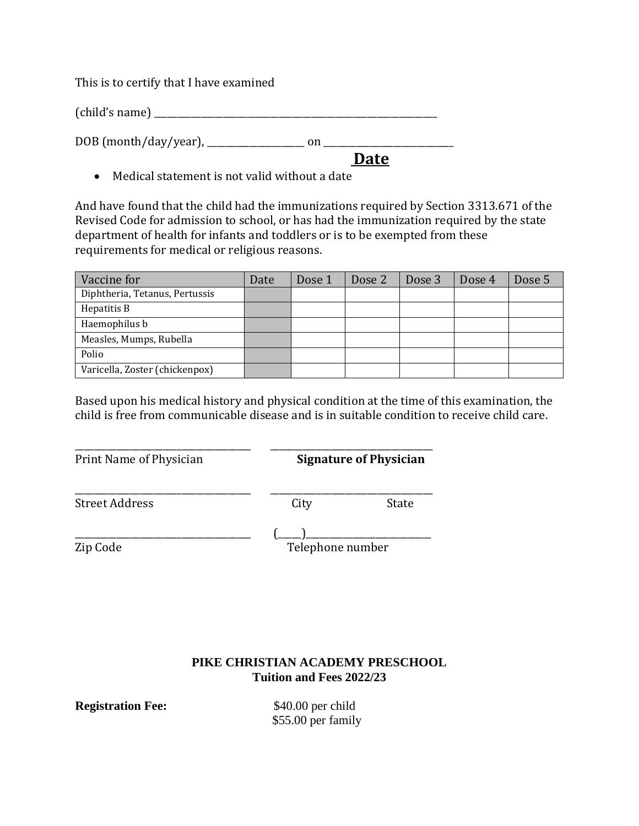This is to certify that I have examined

(child's name) \_\_\_\_\_\_\_\_\_\_\_\_\_\_\_\_\_\_\_\_\_\_\_\_\_\_\_\_\_\_\_\_\_\_\_\_\_\_\_\_\_\_\_\_\_\_\_\_\_\_\_\_\_\_\_\_\_\_\_\_\_

DOB (month/day/year), \_\_\_\_\_\_\_\_\_\_\_\_\_\_\_\_\_\_\_\_\_ on \_\_\_\_\_\_\_\_\_\_\_\_\_\_\_\_\_\_\_\_\_\_\_\_\_\_\_\_

 **Date**

• Medical statement is not valid without a date

And have found that the child had the immunizations required by Section 3313.671 of the Revised Code for admission to school, or has had the immunization required by the state department of health for infants and toddlers or is to be exempted from these requirements for medical or religious reasons.

| Vaccine for                    | Date | Dose 1 | Dose 2 | Dose 3 | Dose 4 | Dose 5 |
|--------------------------------|------|--------|--------|--------|--------|--------|
| Diphtheria, Tetanus, Pertussis |      |        |        |        |        |        |
| Hepatitis B                    |      |        |        |        |        |        |
| Haemophilus b                  |      |        |        |        |        |        |
| Measles, Mumps, Rubella        |      |        |        |        |        |        |
| Polio                          |      |        |        |        |        |        |
| Varicella, Zoster (chickenpox) |      |        |        |        |        |        |

Based upon his medical history and physical condition at the time of this examination, the child is free from communicable disease and is in suitable condition to receive child care.

\_\_\_\_\_\_\_\_\_\_\_\_\_\_\_\_\_\_\_\_\_\_\_\_\_\_\_\_\_\_\_\_\_\_\_\_\_\_ \_\_\_\_\_\_\_\_\_\_\_\_\_\_\_\_\_\_\_\_\_\_\_\_\_\_\_\_\_\_\_\_\_\_\_ Print Name of Physician **Signature of Physician**

Street Address City City

\_\_\_\_\_\_\_\_\_\_\_\_\_\_\_\_\_\_\_\_\_\_\_\_\_\_\_\_\_\_\_\_\_\_\_\_\_\_ \_\_\_\_\_\_\_\_\_\_\_\_\_\_\_\_\_\_\_\_\_\_\_\_\_\_\_\_\_\_\_\_\_\_\_

\_\_\_\_\_\_\_\_\_\_\_\_\_\_\_\_\_\_\_\_\_\_\_\_\_\_\_\_\_\_\_\_\_\_\_\_\_\_ (\_\_\_\_\_)\_\_\_\_\_\_\_\_\_\_\_\_\_\_\_\_\_\_\_\_\_\_\_\_\_\_\_ Zip Code Telephone number

## **PIKE CHRISTIAN ACADEMY PRESCHOOL Tuition and Fees 2022/23**

**Registration Fee:** \$40.00 per child

\$55.00 per family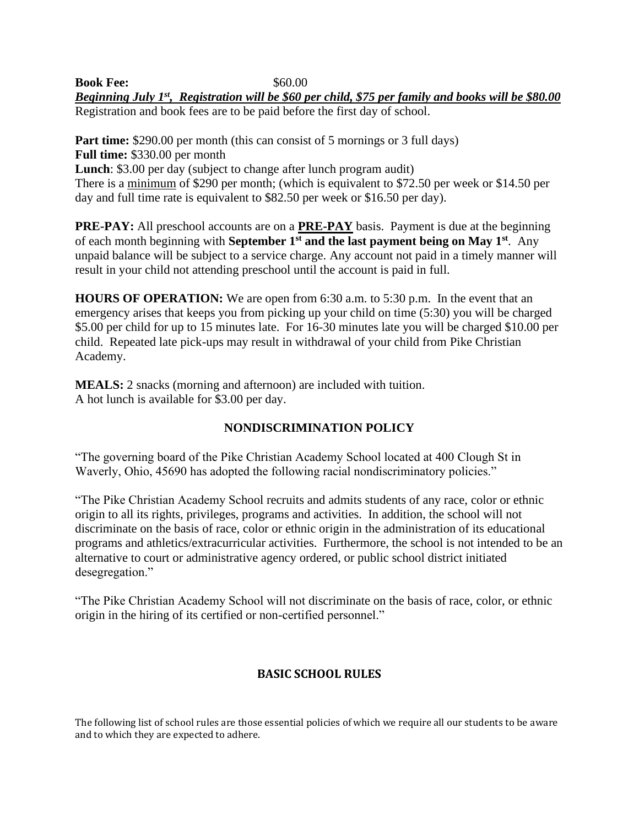**Book Fee:** \$60.00 *Beginning July 1st, Registration will be \$60 per child, \$75 per family and books will be \$80.00*  Registration and book fees are to be paid before the first day of school.

**Part time:** \$290.00 per month (this can consist of 5 mornings or 3 full days) **Full time:** \$330.00 per month **Lunch**: \$3.00 per day (subject to change after lunch program audit) There is a minimum of \$290 per month; (which is equivalent to \$72.50 per week or \$14.50 per day and full time rate is equivalent to \$82.50 per week or \$16.50 per day).

**PRE-PAY:** All preschool accounts are on a **PRE-PAY** basis. Payment is due at the beginning of each month beginning with **September 1st and the last payment being on May 1st** . Any unpaid balance will be subject to a service charge. Any account not paid in a timely manner will result in your child not attending preschool until the account is paid in full.

**HOURS OF OPERATION:** We are open from 6:30 a.m. to 5:30 p.m. In the event that an emergency arises that keeps you from picking up your child on time (5:30) you will be charged \$5.00 per child for up to 15 minutes late. For 16-30 minutes late you will be charged \$10.00 per child. Repeated late pick-ups may result in withdrawal of your child from Pike Christian Academy.

**MEALS:** 2 snacks (morning and afternoon) are included with tuition. A hot lunch is available for \$3.00 per day.

### **NONDISCRIMINATION POLICY**

"The governing board of the Pike Christian Academy School located at 400 Clough St in Waverly, Ohio, 45690 has adopted the following racial nondiscriminatory policies."

"The Pike Christian Academy School recruits and admits students of any race, color or ethnic origin to all its rights, privileges, programs and activities. In addition, the school will not discriminate on the basis of race, color or ethnic origin in the administration of its educational programs and athletics/extracurricular activities. Furthermore, the school is not intended to be an alternative to court or administrative agency ordered, or public school district initiated desegregation."

"The Pike Christian Academy School will not discriminate on the basis of race, color, or ethnic origin in the hiring of its certified or non-certified personnel."

# **BASIC SCHOOL RULES**

The following list of school rules are those essential policies of which we require all our students to be aware and to which they are expected to adhere.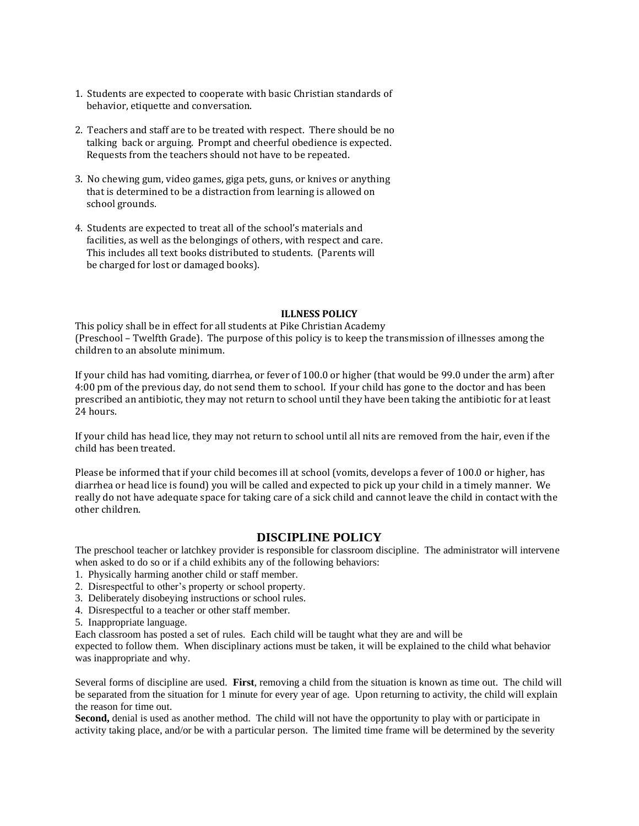- 1. Students are expected to cooperate with basic Christian standards of behavior, etiquette and conversation.
- 2. Teachers and staff are to be treated with respect. There should be no talking back or arguing. Prompt and cheerful obedience is expected. Requests from the teachers should not have to be repeated.
- 3. No chewing gum, video games, giga pets, guns, or knives or anything that is determined to be a distraction from learning is allowed on school grounds.
- 4. Students are expected to treat all of the school's materials and facilities, as well as the belongings of others, with respect and care. This includes all text books distributed to students. (Parents will be charged for lost or damaged books).

#### **ILLNESS POLICY**

This policy shall be in effect for all students at Pike Christian Academy (Preschool – Twelfth Grade). The purpose of this policy is to keep the transmission of illnesses among the children to an absolute minimum.

If your child has had vomiting, diarrhea, or fever of 100.0 or higher (that would be 99.0 under the arm) after 4:00 pm of the previous day, do not send them to school. If your child has gone to the doctor and has been prescribed an antibiotic, they may not return to school until they have been taking the antibiotic for at least 24 hours.

If your child has head lice, they may not return to school until all nits are removed from the hair, even if the child has been treated.

Please be informed that if your child becomes ill at school (vomits, develops a fever of 100.0 or higher, has diarrhea or head lice is found) you will be called and expected to pick up your child in a timely manner. We really do not have adequate space for taking care of a sick child and cannot leave the child in contact with the other children.

#### **DISCIPLINE POLICY**

The preschool teacher or latchkey provider is responsible for classroom discipline. The administrator will intervene when asked to do so or if a child exhibits any of the following behaviors:

- 1. Physically harming another child or staff member.
- 2. Disrespectful to other's property or school property.
- 3. Deliberately disobeying instructions or school rules.
- 4. Disrespectful to a teacher or other staff member.
- 5. Inappropriate language.

Each classroom has posted a set of rules. Each child will be taught what they are and will be

expected to follow them. When disciplinary actions must be taken, it will be explained to the child what behavior was inappropriate and why.

Several forms of discipline are used. **First**, removing a child from the situation is known as time out. The child will be separated from the situation for 1 minute for every year of age. Upon returning to activity, the child will explain the reason for time out.

**Second,** denial is used as another method. The child will not have the opportunity to play with or participate in activity taking place, and/or be with a particular person. The limited time frame will be determined by the severity